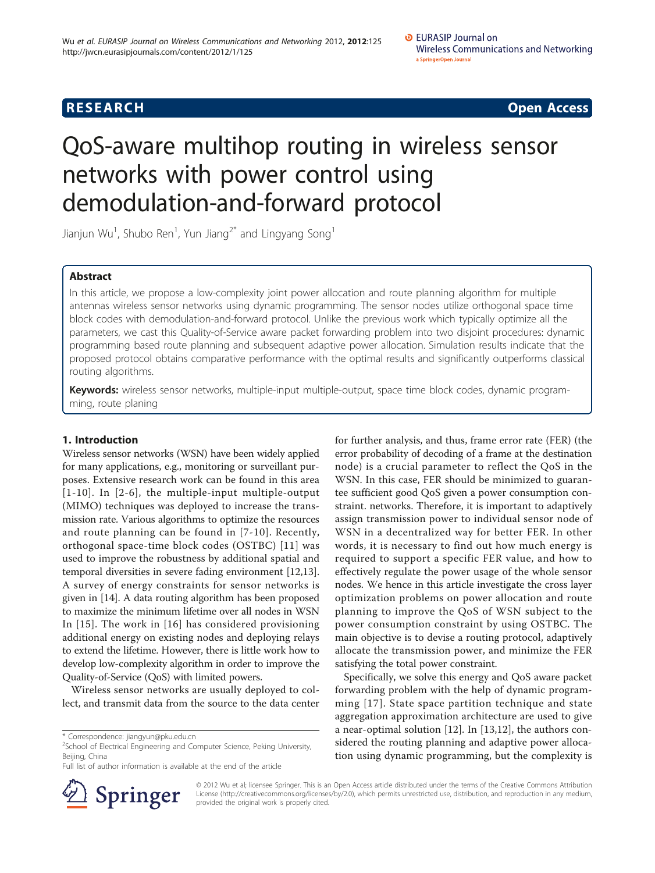# **RESEARCH CONSTRUCTION CONSTRUCTS**

# QoS-aware multihop routing in wireless sensor networks with power control using demodulation-and-forward protocol

Jianjun Wu<sup>1</sup>, Shubo Ren<sup>1</sup>, Yun Jiang<sup>2\*</sup> and Lingyang Song<sup>1</sup>

# Abstract

In this article, we propose a low-complexity joint power allocation and route planning algorithm for multiple antennas wireless sensor networks using dynamic programming. The sensor nodes utilize orthogonal space time block codes with demodulation-and-forward protocol. Unlike the previous work which typically optimize all the parameters, we cast this Quality-of-Service aware packet forwarding problem into two disjoint procedures: dynamic programming based route planning and subsequent adaptive power allocation. Simulation results indicate that the proposed protocol obtains comparative performance with the optimal results and significantly outperforms classical routing algorithms.

Keywords: wireless sensor networks, multiple-input multiple-output, space time block codes, dynamic programming, route planing

# 1. Introduction

Wireless sensor networks (WSN) have been widely applied for many applications, e.g., monitoring or surveillant purposes. Extensive research work can be found in this area [[1-10](#page-7-0)]. In [[2](#page-7-0)-[6\]](#page-7-0), the multiple-input multiple-output (MIMO) techniques was deployed to increase the transmission rate. Various algorithms to optimize the resources and route planning can be found in [[7-10](#page-7-0)]. Recently, orthogonal space-time block codes (OSTBC) [[11](#page-8-0)] was used to improve the robustness by additional spatial and temporal diversities in severe fading environment [[12](#page-8-0),[13](#page-8-0)]. A survey of energy constraints for sensor networks is given in [\[14](#page-8-0)]. A data routing algorithm has been proposed to maximize the minimum lifetime over all nodes in WSN In [[15\]](#page-8-0). The work in [[16\]](#page-8-0) has considered provisioning additional energy on existing nodes and deploying relays to extend the lifetime. However, there is little work how to develop low-complexity algorithm in order to improve the Quality-of-Service (QoS) with limited powers.

Wireless sensor networks are usually deployed to collect, and transmit data from the source to the data center

Full list of author information is available at the end of the article



for further analysis, and thus, frame error rate (FER) (the error probability of decoding of a frame at the destination node) is a crucial parameter to reflect the QoS in the WSN. In this case, FER should be minimized to guarantee sufficient good QoS given a power consumption constraint. networks. Therefore, it is important to adaptively assign transmission power to individual sensor node of WSN in a decentralized way for better FER. In other words, it is necessary to find out how much energy is required to support a specific FER value, and how to effectively regulate the power usage of the whole sensor nodes. We hence in this article investigate the cross layer optimization problems on power allocation and route planning to improve the QoS of WSN subject to the power consumption constraint by using OSTBC. The main objective is to devise a routing protocol, adaptively allocate the transmission power, and minimize the FER satisfying the total power constraint.

Specifically, we solve this energy and QoS aware packet forwarding problem with the help of dynamic programming [[17\]](#page-8-0). State space partition technique and state aggregation approximation architecture are used to give a near-optimal solution [\[12](#page-8-0)]. In [\[13,12](#page-8-0)], the authors considered the routing planning and adaptive power allocation using dynamic programming, but the complexity is

© 2012 Wu et al; licensee Springer. This is an Open Access article distributed under the terms of the Creative Commons Attribution License [\(http://creativecommons.org/licenses/by/2.0](http://creativecommons.org/licenses/by/2.0)), which permits unrestricted use, distribution, and reproduction in any medium, provided the original work is properly cited.

<sup>\*</sup> Correspondence: [jiangyun@pku.edu.cn](mailto:jiangyun@pku.edu.cn)

<sup>&</sup>lt;sup>2</sup>School of Electrical Engineering and Computer Science, Peking University, Beijing, China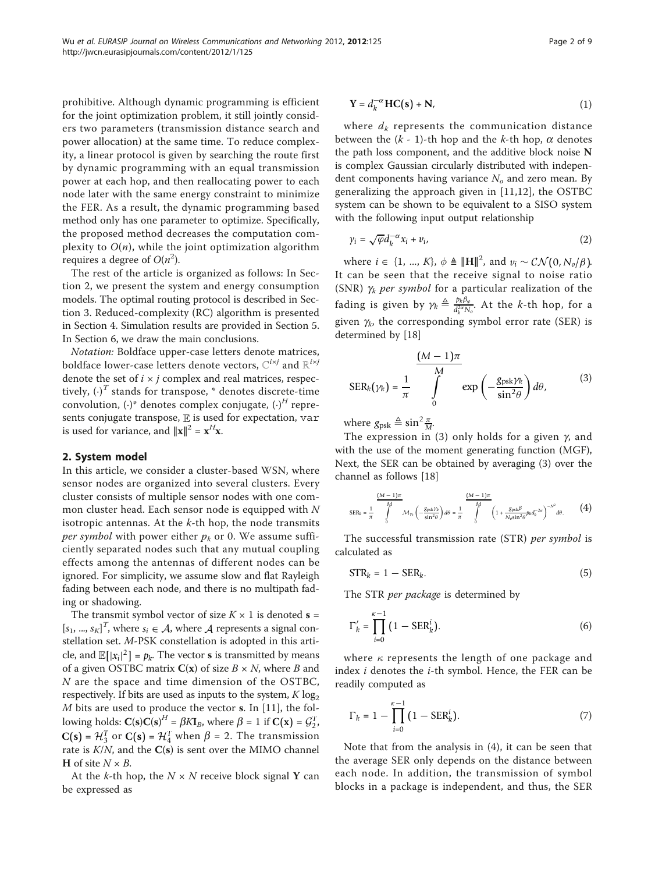prohibitive. Although dynamic programming is efficient for the joint optimization problem, it still jointly considers two parameters (transmission distance search and power allocation) at the same time. To reduce complexity, a linear protocol is given by searching the route first by dynamic programming with an equal transmission power at each hop, and then reallocating power to each node later with the same energy constraint to minimize the FER. As a result, the dynamic programming based method only has one parameter to optimize. Specifically, the proposed method decreases the computation complexity to  $O(n)$ , while the joint optimization algorithm requires a degree of  $O(n^2)$ .

The rest of the article is organized as follows: In Section 2, we present the system and energy consumption models. The optimal routing protocol is described in Section 3. Reduced-complexity (RC) algorithm is presented in Section 4. Simulation results are provided in Section 5. In Section 6, we draw the main conclusions.

Notation: Boldface upper-case letters denote matrices, boldface lower-case letters denote vectors,  $\mathbb{C}^{i \times j}$  and  $\mathbb{R}^{i \times j}$ denote the set of  $i \times j$  complex and real matrices, respectively,  $\left(\cdot\right)^{T}$  stands for transpose,  $*$  denotes discrete-time convolution,  $(\cdot)^*$  denotes complex conjugate,  $(\cdot)^H$  represents conjugate transpose,  $E$  is used for expectation,  $var$ is used for variance, and  $||\mathbf{x}||^2 = \mathbf{x}^H \mathbf{x}$ .

#### 2. System model

In this article, we consider a cluster-based WSN, where sensor nodes are organized into several clusters. Every cluster consists of multiple sensor nodes with one common cluster head. Each sensor node is equipped with  $N$ isotropic antennas. At the  $k$ -th hop, the node transmits *per symbol* with power either  $p_k$  or 0. We assume sufficiently separated nodes such that any mutual coupling effects among the antennas of different nodes can be ignored. For simplicity, we assume slow and flat Rayleigh fading between each node, and there is no multipath fading or shadowing.

The transmit symbol vector of size  $K \times 1$  is denoted  $s =$  $[s_1, ..., s_K]^T$ , where  $s_i \in A$ , where A represents a signal constellation set. M-PSK constellation is adopted in this article, and  $\mathbb{E}[|x_i|^2] = p_k$ . The vector **s** is transmitted by means of a given OSTBC matrix  $C(x)$  of size  $B \times N$ , where B and N are the space and time dimension of the OSTBC, respectively. If bits are used as inputs to the system,  $K \log_2$ M bits are used to produce the vector s. In [[11\]](#page-8-0), the following holds:  $C(s)C(s)^H = \beta K I_B$ , where  $\beta = 1$  if  $C(\mathbf{x}) = \mathcal{G}_I^T$ ,  $C(s) = \mathcal{H}^T$  where  $\beta = 2$ . The transmission  $C(s) = H_3^T$  or  $C(s) = H_4^T$  when  $\beta = 2$ . The transmission<br>rate is  $K/N$  and the  $C(s)$  is sent over the MIMO shappel rate is  $K/N$ , and the  $C(s)$  is sent over the MIMO channel **H** of site  $N \times B$ .

At the k-th hop, the  $N \times N$  receive block signal Y can be expressed as

$$
\mathbf{Y} = d_k^{-\alpha} \mathbf{HC}(\mathbf{s}) + \mathbf{N},\tag{1}
$$

where  $d_k$  represents the communication distance between the  $(k - 1)$ -th hop and the k-th hop,  $\alpha$  denotes the path loss component, and the additive block noise N is complex Gaussian circularly distributed with independent components having variance  $N<sub>o</sub>$  and zero mean. By generalizing the approach given in [\[11](#page-8-0),[12\]](#page-8-0), the OSTBC system can be shown to be equivalent to a SISO system with the following input output relationship

$$
\gamma_i = \sqrt{\varphi} d_k^{-\alpha} x_i + \nu_i,\tag{2}
$$

where  $i \in \{1, ..., K\}, \phi \triangleq ||\mathbf{H}||^2$ , and  $v_i \sim \mathcal{CN}(0, N_o/\beta)$ . It can be seen that the receive signal to noise ratio (SNR)  $\gamma_k$  per symbol for a particular realization of the fading is given by  $\gamma_k \triangleq \frac{p_k \beta_\varphi}{d_k^{2\alpha} N_o}$ . At the *k*-th hop, for a given  $\gamma_k$ , the corresponding symbol error rate (SER) is determined by [\[18\]](#page-8-0)

$$
SER_{k}(\gamma_{k}) = \frac{1}{\pi} \int_{0}^{\frac{(M-1)\pi}{M}} \exp\left(-\frac{g_{psk}\gamma_{k}}{\sin^{2}\theta}\right)d\theta, \tag{3}
$$

where  $g_{psk} \triangleq \sin^2 \frac{\pi}{M}$ .

The expression in (3) only holds for a given  $\gamma$ , and with the use of the moment generating function (MGF), Next, the SER can be obtained by averaging (3) over the channel as follows [\[18\]](#page-8-0)

$$
SER_k = \frac{1}{\pi} \int\limits_{0}^{(M-1)\pi} \mathcal{M}_{\gamma_k}\left(-\frac{g_{\text{psk}}\gamma_k}{\sin^2\theta}\right)d\theta = \frac{1}{\pi} \int\limits_{0}^{(M-1)\pi}\left(1 + \frac{g_{\text{psk}}\beta}{N_s\sin^2\theta}p_kd_k^{-2\alpha}\right)^{-N^2}d\theta. \tag{4}
$$

The successful transmission rate (STR) per symbol is calculated as

$$
STR_k = 1 - SER_k. \tag{5}
$$

The STR per package is determined by

$$
\Gamma'_k = \prod_{i=0}^{k-1} (1 - \text{SER}_k^i).
$$
 (6)

where  $\kappa$  represents the length of one package and index i denotes the i-th symbol. Hence, the FER can be readily computed as

$$
\Gamma_k = 1 - \prod_{i=0}^{k-1} (1 - \text{SER}_k^i).
$$
 (7)

Note that from the analysis in (4), it can be seen that the average SER only depends on the distance between each node. In addition, the transmission of symbol blocks in a package is independent, and thus, the SER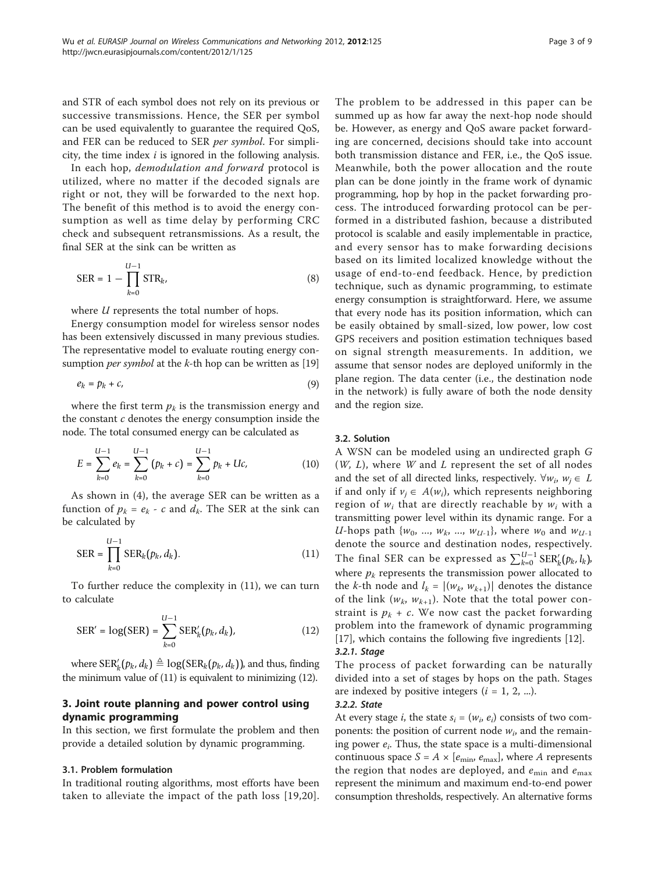and STR of each symbol does not rely on its previous or successive transmissions. Hence, the SER per symbol can be used equivalently to guarantee the required QoS, and FER can be reduced to SER per symbol. For simplicity, the time index  $i$  is ignored in the following analysis.

In each hop, demodulation and forward protocol is utilized, where no matter if the decoded signals are right or not, they will be forwarded to the next hop. The benefit of this method is to avoid the energy consumption as well as time delay by performing CRC check and subsequent retransmissions. As a result, the final SER at the sink can be written as

$$
SER = 1 - \prod_{k=0}^{U-1} STR_k,
$$
 (8)

where *U* represents the total number of hops.

Energy consumption model for wireless sensor nodes has been extensively discussed in many previous studies. The representative model to evaluate routing energy consumption *per symbol* at the  $k$ -th hop can be written as [[19](#page-8-0)]

$$
e_k = p_k + c,\tag{9}
$$

where the first term  $p_k$  is the transmission energy and the constant  $c$  denotes the energy consumption inside the node. The total consumed energy can be calculated as

$$
E = \sum_{k=0}^{U-1} e_k = \sum_{k=0}^{U-1} (p_k + c) = \sum_{k=0}^{U-1} p_k + Uc,
$$
 (10)

As shown in (4), the average SER can be written as a function of  $p_k = e_k - c$  and  $d_k$ . The SER at the sink can be calculated by

$$
SER = \prod_{k=0}^{U-1} SER_k(p_k, d_k).
$$
 (11)

To further reduce the complexity in (11), we can turn to calculate

$$
SER' = \log(SER) = \sum_{k=0}^{U-1} SER'_k(p_k, d_k),
$$
 (12)

where  $\text{SER}_k'(\mathit{p}_k, d_k) \triangleq \log(\text{SER}_k(\mathit{p}_k, d_k))$ , and thus, finding the minimum value of (11) is equivalent to minimizing (12).

## 3. Joint route planning and power control using dynamic programming

In this section, we first formulate the problem and then provide a detailed solution by dynamic programming.

#### 3.1. Problem formulation

In traditional routing algorithms, most efforts have been taken to alleviate the impact of the path loss [[19](#page-8-0),[20\]](#page-8-0). The problem to be addressed in this paper can be summed up as how far away the next-hop node should be. However, as energy and QoS aware packet forwarding are concerned, decisions should take into account both transmission distance and FER, i.e., the QoS issue. Meanwhile, both the power allocation and the route plan can be done jointly in the frame work of dynamic programming, hop by hop in the packet forwarding process. The introduced forwarding protocol can be performed in a distributed fashion, because a distributed protocol is scalable and easily implementable in practice, and every sensor has to make forwarding decisions based on its limited localized knowledge without the usage of end-to-end feedback. Hence, by prediction technique, such as dynamic programming, to estimate energy consumption is straightforward. Here, we assume that every node has its position information, which can be easily obtained by small-sized, low power, low cost GPS receivers and position estimation techniques based on signal strength measurements. In addition, we assume that sensor nodes are deployed uniformly in the plane region. The data center (i.e., the destination node in the network) is fully aware of both the node density and the region size.

### 3.2. Solution

A WSN can be modeled using an undirected graph G  $(W, L)$ , where W and L represent the set of all nodes and the set of all directed links, respectively.  $\forall w_i, w_j \in L$ if and only if  $v_i \in A(w_i)$ , which represents neighboring region of  $w_i$  that are directly reachable by  $w_i$  with a transmitting power level within its dynamic range. For a *U*-hops path { $w_0$ , ...,  $w_k$ , ...,  $w_{U-1}$ }, where  $w_0$  and  $w_{U-1}$ denote the source and destination nodes, respectively. The final SER can be expressed as  $\sum_{k=0}^{U-1}$  SER<sup>'</sup><sub>k</sub>( $p_k$ ,  $l_k$ ), where  $p_k$  represents the transmission power allocated to the k-th node and  $l_k = |(w_k, w_{k+1})|$  denotes the distance of the link ( $w_k$ ,  $w_{k+1}$ ). Note that the total power constraint is  $p_k + c$ . We now cast the packet forwarding problem into the framework of dynamic programming [[17\]](#page-8-0), which contains the following five ingredients [[12\]](#page-8-0).

The process of packet forwarding can be naturally divided into a set of stages by hops on the path. Stages are indexed by positive integers  $(i = 1, 2, ...)$ .

At every stage *i*, the state  $s_i = (w_i, e_i)$  consists of two components: the position of current node  $w_i$ , and the remaining power  $e_i$ . Thus, the state space is a multi-dimensional continuous space  $S = A \times [e_{\text{min}}, e_{\text{max}}]$ , where A represents the region that nodes are deployed, and  $e_{min}$  and  $e_{max}$ represent the minimum and maximum end-to-end power consumption thresholds, respectively. An alternative forms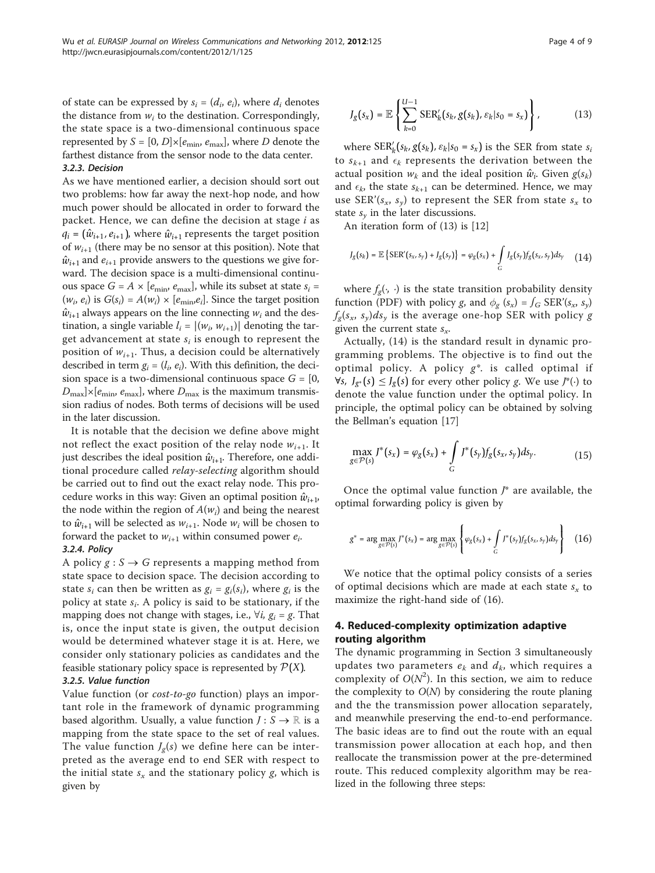of state can be expressed by  $s_i = (d_i, e_i)$ , where  $d_i$  denotes the distance from  $w_i$  to the destination. Correspondingly, the state space is a two-dimensional continuous space represented by  $S = [0, D] \times [e_{\text{min}}, e_{\text{max}}]$ , where D denote the farthest distance from the sensor node to the data center.

As we have mentioned earlier, a decision should sort out two problems: how far away the next-hop node, and how much power should be allocated in order to forward the packet. Hence, we can define the decision at stage  $i$  as  $q_i = (\hat{w}_{i+1}, e_{i+1})$ , where  $\hat{w}_{i+1}$  represents the target position of  $w_{i+1}$  (there may be no sensor at this position). Note that  $\hat{w}_{i+1}$  and  $e_{i+1}$  provide answers to the questions we give forward. The decision space is a multi-dimensional continuous space  $G = A \times [e_{\text{min}}, e_{\text{max}}]$ , while its subset at state  $s_i =$  $(w_i, e_i)$  is  $G(s_i) = A(w_i) \times [e_{\text{min}}, e_i]$ . Since the target position  $\hat{w}_{i+1}$  always appears on the line connecting  $w_i$  and the destination, a single variable  $l_i = |(w_i, w_{i+1})|$  denoting the target advancement at state  $s_i$  is enough to represent the position of  $w_{i+1}$ . Thus, a decision could be alternatively described in term  $g_i = (l_i, e_i)$ . With this definition, the decision space is a two-dimensional continuous space  $G = [0, 1]$  $D_{\text{max}}|x[e_{\text{min}}, e_{\text{max}}]$ , where  $D_{\text{max}}$  is the maximum transmission radius of nodes. Both terms of decisions will be used in the later discussion.

It is notable that the decision we define above might not reflect the exact position of the relay node  $w_{i+1}$ . It just describes the ideal position  $\hat{w}_{i+1}$ . Therefore, one additional procedure called relay-selecting algorithm should be carried out to find out the exact relay node. This procedure works in this way: Given an optimal position  $\hat{w}_{i+1}$ , the node within the region of  $A(w_i)$  and being the nearest to  $\hat{w}_{i+1}$  will be selected as  $w_{i+1}$ . Node  $w_i$  will be chosen to forward the packet to  $w_{i+1}$  within consumed power  $e_i$ .

A policy  $g : S \to G$  represents a mapping method from state space to decision space. The decision according to state  $s_i$  can then be written as  $g_i = g_i(s_i)$ , where  $g_i$  is the policy at state  $s_i$ . A policy is said to be stationary, if the mapping does not change with stages, i.e.,  $\forall i, g_i = g$ . That is, once the input state is given, the output decision would be determined whatever stage it is at. Here, we consider only stationary policies as candidates and the feasible stationary policy space is represented by  $P(X)$ .<br>3.2.5. Value function

Value function (or *cost-to-go* function) plays an important role in the framework of dynamic programming based algorithm. Usually, a value function  $J: S \to \mathbb{R}$  is a mapping from the state space to the set of real values. The value function  $J_{g}(s)$  we define here can be interpreted as the average end to end SER with respect to the initial state  $s_x$  and the stationary policy g, which is given by

$$
J_g(s_x) = \mathbb{E}\left\{\sum_{k=0}^{U-1} \text{SER}'_k(s_k, g(s_k), \varepsilon_k | s_0 = s_x)\right\},
$$
 (13)

where  $\text{SER}_k'(s_k, g(s_k), \varepsilon_k|s_0 = s_x)$  is the SER from state  $s_i$ to  $s_{k+1}$  and  $\epsilon_k$  represents the derivation between the actual position  $w_k$  and the ideal position  $\hat{w}_i$ . Given  $g(s_k)$ and  $\epsilon_k$ , the state  $s_{k+1}$  can be determined. Hence, we may use SER'( $s_x$ ,  $s_y$ ) to represent the SER from state  $s_x$  to state  $s<sub>v</sub>$  in the later discussions.

An iteration form of (13) is [[12\]](#page-8-0)

$$
J_{g}(s_{k}) = \mathbb{E}\left\{\text{SER}'(s_{x}, s_{y}) + I_{g}(s_{y})\right\} = \varphi_{g}(s_{x}) + \int\limits_{G} J_{g}(s_{y})f_{g}(s_{x}, s_{y})ds_{y} \qquad (14)
$$

where  $f_g(\cdot, \cdot)$  is the state transition probability density function (PDF) with policy g, and  $\phi_g$  (s<sub>x</sub>) =  $\int_G$  SER'(s<sub>x</sub>, s<sub>y</sub>)  $f_g(s_x, s_y)ds_y$  is the average one-hop SER with policy g given the current state  $s_x$ .

Actually, (14) is the standard result in dynamic programming problems. The objective is to find out the optimal policy. A policy  $g^*$  is called optimal if ∀*s*,  $J_{g^*}(s)$  ≤  $J_g(s)$  for every other policy g. We use  $J^*(·)$  to denote the value function under the optimal policy. In principle, the optimal policy can be obtained by solving the Bellman's equation [[17](#page-8-0)]

$$
\max_{g \in \mathcal{P}(s)} J^*(s_x) = \varphi_g(s_x) + \int_G J^*(s_y) f_g(s_x, s_y) ds_y.
$$
 (15)

Once the optimal value function  $J^*$  are available, the optimal forwarding policy is given by

$$
g^* = \arg \max_{g \in \mathcal{P}(s)} J^*(s_x) = \arg \max_{g \in \mathcal{P}(s)} \left\{ \varphi_g(s_x) + \int_G J^*(s_y) f_g(s_x, s_y) ds_y \right\} \quad (16)
$$

We notice that the optimal policy consists of a series of optimal decisions which are made at each state  $s_x$  to maximize the right-hand side of (16).

# 4. Reduced-complexity optimization adaptive routing algorithm

The dynamic programming in Section 3 simultaneously updates two parameters  $e_k$  and  $d_k$ , which requires a complexity of  $O(N^2)$ . In this section, we aim to reduce the complexity to  $O(N)$  by considering the route planing and the the transmission power allocation separately, and meanwhile preserving the end-to-end performance. The basic ideas are to find out the route with an equal transmission power allocation at each hop, and then reallocate the transmission power at the pre-determined route. This reduced complexity algorithm may be realized in the following three steps: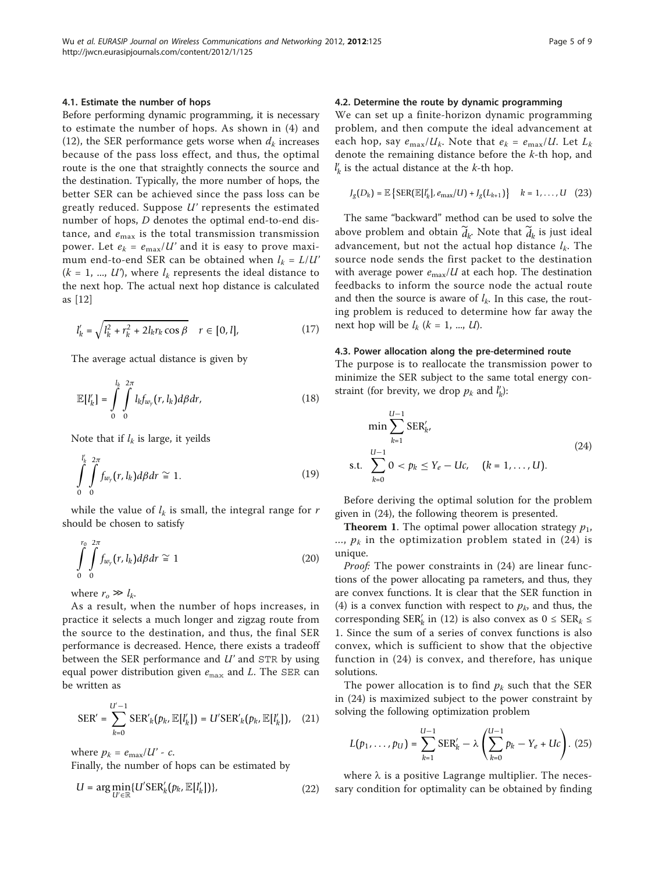#### 4.1. Estimate the number of hops

Before performing dynamic programming, it is necessary to estimate the number of hops. As shown in (4) and (12), the SER performance gets worse when  $d_k$  increases because of the pass loss effect, and thus, the optimal route is the one that straightly connects the source and the destination. Typically, the more number of hops, the better SER can be achieved since the pass loss can be greatly reduced. Suppose U' represents the estimated number of hops, D denotes the optimal end-to-end distance, and  $e_{\text{max}}$  is the total transmission transmission power. Let  $e_k = e_{\text{max}}/U'$  and it is easy to prove maximum end-to-end SER can be obtained when  $l_k = L/U'$  $(k = 1, ..., U')$ , where  $l_k$  represents the ideal distance to the next hop. The actual next hop distance is calculated as [\[12\]](#page-8-0)

$$
l'_{k} = \sqrt{l_{k}^{2} + r_{k}^{2} + 2l_{k}r_{k}\cos\beta} \quad r \in [0, l],
$$
 (17)

The average actual distance is given by

$$
\mathbb{E}[l'_{k}] = \int_{0}^{l_{k}} \int_{0}^{2\pi} l_{k} f_{w_{\gamma}}(r, l_{k}) d\beta dr, \qquad (18)
$$

Note that if  $l_k$  is large, it yeilds

$$
\int_{0}^{l_k} \int_{0}^{2\pi} f_{w_y}(r, l_k) d\beta dr \cong 1.
$$
\n(19)

while the value of  $l_k$  is small, the integral range for r should be chosen to satisfy

$$
\int_{0}^{r_0} \int_{0}^{2\pi} f_{w_y}(r, l_k) d\beta dr \cong 1
$$
\n(20)

where  $r_o \gg l_k$ .

As a result, when the number of hops increases, in practice it selects a much longer and zigzag route from the source to the destination, and thus, the final SER performance is decreased. Hence, there exists a tradeoff between the SER performance and  $U$  and  $STR$  by using equal power distribution given  $e_{\text{max}}$  and L. The SER can be written as

$$
SER' = \sum_{k=0}^{U'-1} SER'_{k}(p_{k}, \mathbb{E}[l'_{k}]) = U'SER'_{k}(p_{k}, \mathbb{E}[l'_{k}]), \quad (21)
$$

where  $p_k = e_{\text{max}}/U - c$ . Finally, the number of hops can be estimated by

$$
U = \arg\min_{U' \in \mathbb{R}} \{ U' \text{SER}_k' (p_k, \mathbb{E}[l'_k]) \},\tag{22}
$$

#### 4.2. Determine the route by dynamic programming

We can set up a finite-horizon dynamic programming problem, and then compute the ideal advancement at each hop, say  $e_{\text{max}}/U_k$ . Note that  $e_k = e_{\text{max}}/U$ . Let  $L_k$ denote the remaining distance before the k-th hop, and  $l'_k$  is the actual distance at the  $k$ -th hop.

$$
J_g(D_k) = \mathbb{E}\left\{\text{SER}(\mathbb{E}[l_k'], e_{\max}/U) + J_g(L_{k+1})\right\} \quad k = 1, \ldots, U \quad (23)
$$

The same "backward" method can be used to solve the above problem and obtain  $\tilde{d}_k$ . Note that  $\tilde{d}_k$  is just ideal advancement, but not the actual hop distance  $l_k$ . The source node sends the first packet to the destination with average power  $e_{\text{max}}/U$  at each hop. The destination feedbacks to inform the source node the actual route and then the source is aware of  $l_k$ . In this case, the routing problem is reduced to determine how far away the next hop will be  $l_k$  ( $k = 1, ..., U$ ).

#### 4.3. Power allocation along the pre-determined route

The purpose is to reallocate the transmission power to minimize the SER subject to the same total energy constraint (for brevity, we drop  $p_k$  and  $l'_k$ ):

$$
\min \sum_{k=1}^{U-1} \text{SER}'_{k'},
$$
\n
$$
\text{s.t. } \sum_{k=0}^{U-1} 0 < p_k \le Y_e - Uc, \quad (k = 1, \dots, U). \tag{24}
$$

Before deriving the optimal solution for the problem given in (24), the following theorem is presented.

**Theorem 1.** The optimal power allocation strategy  $p_1$ , ...,  $p_k$  in the optimization problem stated in (24) is unique.

*Proof:* The power constraints in (24) are linear functions of the power allocating pa rameters, and thus, they are convex functions. It is clear that the SER function in (4) is a convex function with respect to  $p_k$ , and thus, the corresponding  $SER'_k$  in (12) is also convex as  $0 \leq SER_k \leq$ 1. Since the sum of a series of convex functions is also convex, which is sufficient to show that the objective function in (24) is convex, and therefore, has unique solutions.

The power allocation is to find  $p_k$  such that the SER in (24) is maximized subject to the power constraint by solving the following optimization problem

$$
L(p_1, ..., p_U) = \sum_{k=1}^{U-1} \text{SER}'_k - \lambda \left(\sum_{k=0}^{U-1} p_k - Y_e + Uc\right).
$$
 (25)

where  $\lambda$  is a positive Lagrange multiplier. The necessary condition for optimality can be obtained by finding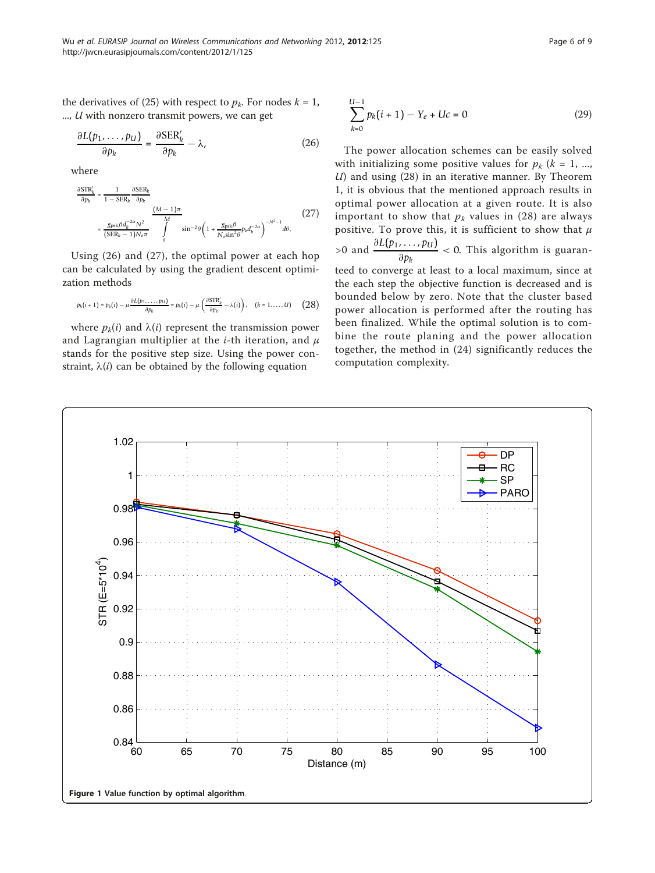<span id="page-5-0"></span>the derivatives of (25) with respect to  $p_k$ . For nodes  $k = 1$ , ...,  $U$  with nonzero transmit powers, we can get

$$
\frac{\partial L(p_1,\ldots,p_U)}{\partial p_k} = \frac{\partial \text{SER}'_k}{\partial p_k} - \lambda,\tag{26}
$$

where

$$
\frac{\partial S \text{TR}_k'}{\partial p_k} = \frac{1}{1 - \text{SER}_k} \frac{\partial S \text{ER}_k}{\partial p_k}
$$
\n
$$
= \frac{g_{\text{psk}} \beta d_k^{-2\alpha} N^2}{\left( \text{SER}_k - 1 \right) N_o \pi} \int\limits_{0}^{\frac{(M-1)\pi}{M}} \sin^{-2}\theta \left( 1 + \frac{g_{\text{psk}} \beta}{N_o \sin^2 \theta} p_k d_k^{-2\alpha} \right)^{-N^2 - 1} d\theta, \tag{27}
$$

Using (26) and (27), the optimal power at each hop can be calculated by using the gradient descent optimization methods

$$
p_k(i+1) = p_k(i) - \mu \frac{\partial L(p_1, \ldots, p_U)}{\partial p_k} = p_k(i) - \mu \left( \frac{\partial S \Pi k'_k}{\partial p_k} - \lambda(i) \right), \quad (k = 1, \ldots, U)
$$
 (28)

where  $p_k(i)$  and  $\lambda(i)$  represent the transmission power and Lagrangian multiplier at the *i*-th iteration, and  $\mu$ stands for the positive step size. Using the power constraint,  $\lambda(i)$  can be obtained by the following equation

$$
\sum_{k=0}^{U-1} p_k(i+1) - Y_e + Uc = 0 \tag{29}
$$

The power allocation schemes can be easily solved with initializing some positive values for  $p_k$  ( $k = 1, ...,$  $U$ ) and using (28) in an iterative manner. By Theorem 1, it is obvious that the mentioned approach results in optimal power allocation at a given route. It is also important to show that  $p_k$  values in (28) are always positive. To prove this, it is sufficient to show that  $\mu$ >0 and  $\frac{\partial L(p_1,...,p_U)}{\partial x}$  < 0. This algorithm is guaran-∂*pk* teed to converge at least to a local maximum, since at the each step the objective function is decreased and is bounded below by zero. Note that the cluster based

power allocation is performed after the routing has been finalized. While the optimal solution is to combine the route planing and the power allocation together, the method in (24) significantly reduces the computation complexity.

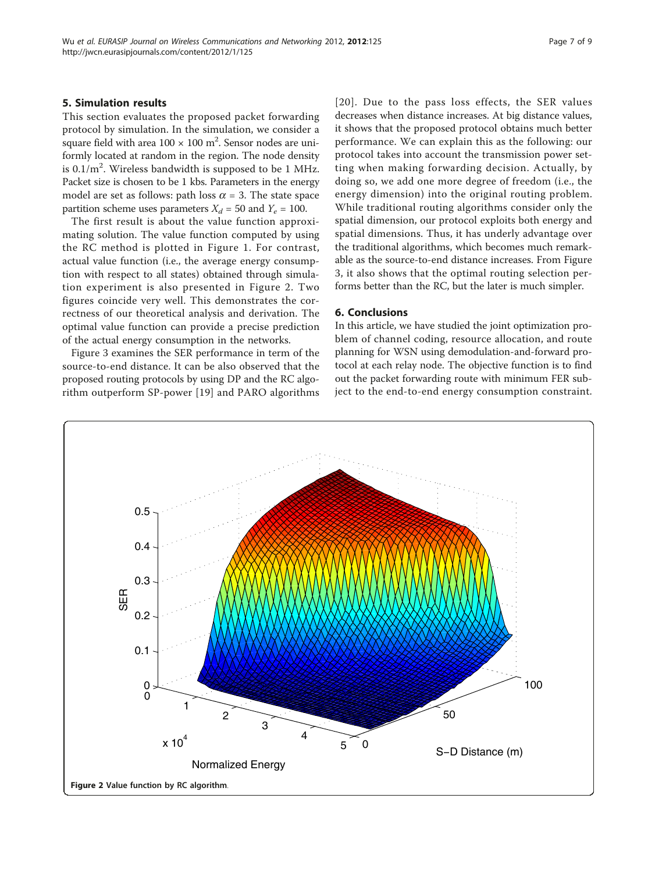### 5. Simulation results

This section evaluates the proposed packet forwarding protocol by simulation. In the simulation, we consider a square field with area 100  $\times$  100 m<sup>2</sup>. Sensor nodes are uniformly located at random in the region. The node density is  $0.1/m^2$ . Wireless bandwidth is supposed to be 1 MHz. Packet size is chosen to be 1 kbs. Parameters in the energy model are set as follows: path loss  $\alpha$  = 3. The state space partition scheme uses parameters  $X_d = 50$  and  $Y_e = 100$ .

The first result is about the value function approximating solution. The value function computed by using the RC method is plotted in Figure [1](#page-5-0). For contrast, actual value function (i.e., the average energy consumption with respect to all states) obtained through simulation experiment is also presented in Figure 2. Two figures coincide very well. This demonstrates the correctness of our theoretical analysis and derivation. The optimal value function can provide a precise prediction of the actual energy consumption in the networks.

Figure [3](#page-7-0) examines the SER performance in term of the source-to-end distance. It can be also observed that the proposed routing protocols by using DP and the RC algorithm outperform SP-power [\[19](#page-8-0)] and PARO algorithms [[20](#page-8-0)]. Due to the pass loss effects, the SER values decreases when distance increases. At big distance values, it shows that the proposed protocol obtains much better performance. We can explain this as the following: our protocol takes into account the transmission power setting when making forwarding decision. Actually, by doing so, we add one more degree of freedom (i.e., the energy dimension) into the original routing problem. While traditional routing algorithms consider only the spatial dimension, our protocol exploits both energy and spatial dimensions. Thus, it has underly advantage over the traditional algorithms, which becomes much remarkable as the source-to-end distance increases. From Figure [3,](#page-7-0) it also shows that the optimal routing selection performs better than the RC, but the later is much simpler.

### 6. Conclusions

In this article, we have studied the joint optimization problem of channel coding, resource allocation, and route planning for WSN using demodulation-and-forward protocol at each relay node. The objective function is to find out the packet forwarding route with minimum FER subject to the end-to-end energy consumption constraint.

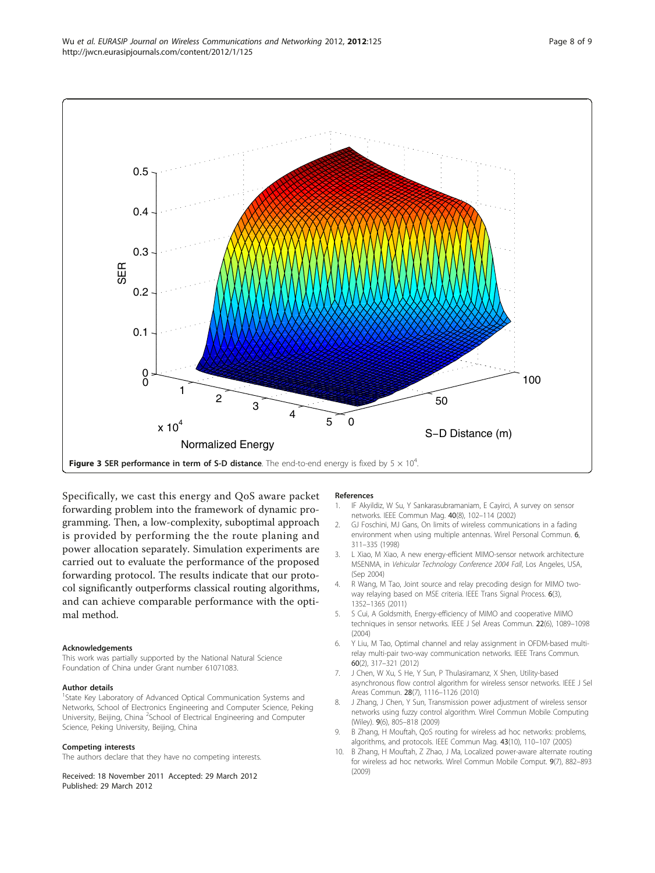<span id="page-7-0"></span>

Specifically, we cast this energy and QoS aware packet forwarding problem into the framework of dynamic programming. Then, a low-complexity, suboptimal approach is provided by performing the the route planing and power allocation separately. Simulation experiments are carried out to evaluate the performance of the proposed forwarding protocol. The results indicate that our protocol significantly outperforms classical routing algorithms, and can achieve comparable performance with the optimal method.

#### Acknowledgements

This work was partially supported by the National Natural Science Foundation of China under Grant number 61071083.

#### Author details

<sup>1</sup>State Key Laboratory of Advanced Optical Communication Systems and Networks, School of Electronics Engineering and Computer Science, Peking University, Beijing, China <sup>2</sup>School of Electrical Engineering and Computer Science, Peking University, Beijing, China

#### Competing interests

The authors declare that they have no competing interests.

Received: 18 November 2011 Accepted: 29 March 2012 Published: 29 March 2012

#### References

- 1. IF Akyildiz, W Su, Y Sankarasubramaniam, E Cayirci, A survey on sensor networks. IEEE Commun Mag. 40(8), 102–114 (2002)
- 2. GJ Foschini, MJ Gans, On limits of wireless communications in a fading environment when using multiple antennas. Wirel Personal Commun. 6, 311–335 (1998)
- 3. L Xiao, M Xiao, A new energy-efficient MIMO-sensor network architecture MSENMA, in Vehicular Technology Conference 2004 Fall, Los Angeles, USA, (Sep 2004)
- 4. R Wang, M Tao, Joint source and relay precoding design for MIMO twoway relaying based on MSE criteria. IEEE Trans Signal Process. 6(3), 1352–1365 (2011)
- 5. S Cui, A Goldsmith, Energy-efficiency of MIMO and cooperative MIMO techniques in sensor networks. IEEE J Sel Areas Commun. 22(6), 1089–1098 (2004)
- 6. Y Liu, M Tao, Optimal channel and relay assignment in OFDM-based multirelay multi-pair two-way communication networks. IEEE Trans Commun. 60(2), 317–321 (2012)
- 7. J Chen, W Xu, S He, Y Sun, P Thulasiramanz, X Shen, Utility-based asynchronous flow control algorithm for wireless sensor networks. IEEE J Sel Areas Commun. 28(7), 1116–1126 (2010)
- 8. J Zhang, J Chen, Y Sun, Transmission power adjustment of wireless sensor networks using fuzzy control algorithm. Wirel Commun Mobile Computing (Wiley). 9(6), 805–818 (2009)
- 9. B Zhang, H Mouftah, QoS routing for wireless ad hoc networks: problems, algorithms, and protocols. IEEE Commun Mag. 43(10), 110–107 (2005)
- 10. B Zhang, H Mouftah, Z Zhao, J Ma, Localized power-aware alternate routing for wireless ad hoc networks. Wirel Commun Mobile Comput. 9(7), 882–893 (2009)